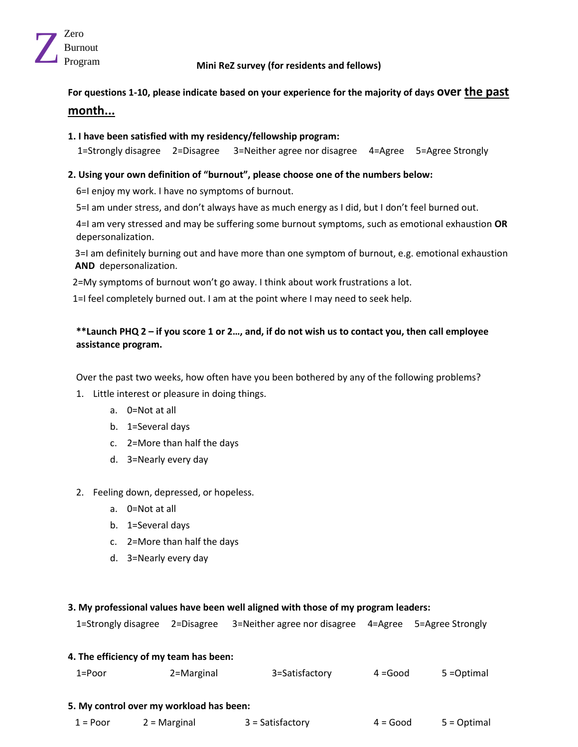

# Program **Mini ReZ survey (for residents and fellows)**

**For questions 1-10, please indicate based on your experience for the majority of days over the past month...**

# **1. I have been satisfied with my residency/fellowship program:**

1=Strongly disagree 2=Disagree 3=Neither agree nor disagree 4=Agree 5=Agree Strongly

# **2. Using your own definition of "burnout", please choose one of the numbers below:**

6=I enjoy my work. I have no symptoms of burnout.

5=I am under stress, and don't always have as much energy as I did, but I don't feel burned out.

4=I am very stressed and may be suffering some burnout symptoms, such as emotional exhaustion **OR** depersonalization.

3=I am definitely burning out and have more than one symptom of burnout, e.g. emotional exhaustion **AND** depersonalization.

2=My symptoms of burnout won't go away. I think about work frustrations a lot.

1=I feel completely burned out. I am at the point where I may need to seek help.

# **\*\*Launch PHQ 2 – if you score 1 or 2…, and, if do not wish us to contact you, then call employee assistance program.**

Over the past two weeks, how often have you been bothered by any of the following problems?

- 1. Little interest or pleasure in doing things.
	- a. 0=Not at all
	- b. 1=Several days
	- c. 2=More than half the days
	- d. 3=Nearly every day
- 2. Feeling down, depressed, or hopeless.
	- a. 0=Not at all
	- b. 1=Several days
	- c. 2=More than half the days
	- d. 3=Nearly every day

## **3. My professional values have been well aligned with those of my program leaders:**

|  |  | 1=Strongly disagree 2=Disagree 3=Neither agree nor disagree 4=Agree 5=Agree Strongly |  |  |
|--|--|--------------------------------------------------------------------------------------|--|--|
|--|--|--------------------------------------------------------------------------------------|--|--|

# **4. The efficiency of my team has been:**  1=Poor 2=Marginal 3=Satisfactory 4 =Good 5 =Optimal **5. My control over my workload has been:**

1 = Poor 2 = Marginal 3 = Satisfactory 4 = Good 5 = Optimal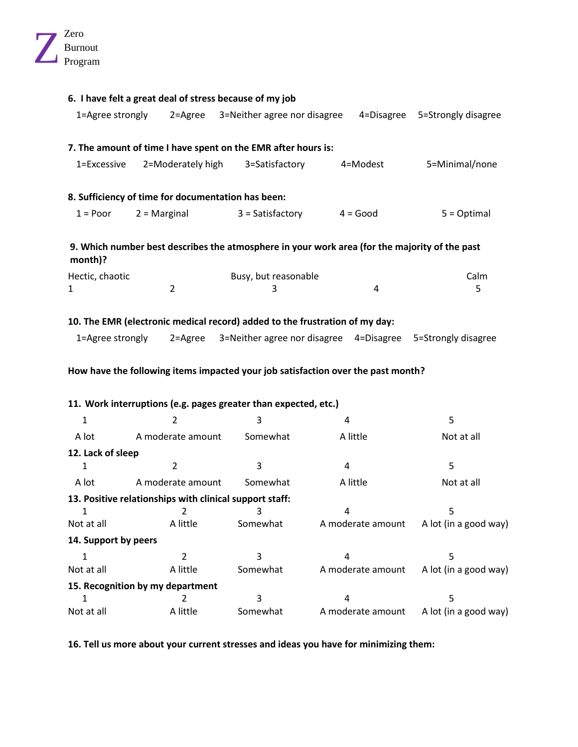|                              | 6. I have felt a great deal of stress because of my job                                           |                              |                                                                                               |                                         |
|------------------------------|---------------------------------------------------------------------------------------------------|------------------------------|-----------------------------------------------------------------------------------------------|-----------------------------------------|
| 1=Agree strongly             | 2=Agree                                                                                           | 3=Neither agree nor disagree | 4=Disagree                                                                                    | 5=Strongly disagree                     |
|                              | 7. The amount of time I have spent on the EMR after hours is:                                     |                              |                                                                                               |                                         |
| 1=Excessive                  | 2=Moderately high                                                                                 | 3=Satisfactory               | 4=Modest                                                                                      | 5=Minimal/none                          |
|                              | 8. Sufficiency of time for documentation has been:                                                |                              |                                                                                               |                                         |
| $1 = Poor$<br>$2 =$ Marginal |                                                                                                   | $3 = Satisfactory$           | $4 = Good$                                                                                    | $5 = Optimal$                           |
| month)?                      |                                                                                                   |                              | 9. Which number best describes the atmosphere in your work area (for the majority of the past |                                         |
| Hectic, chaotic              |                                                                                                   | Busy, but reasonable         |                                                                                               | Calm                                    |
| 1                            | $\overline{2}$                                                                                    | 3                            | 4                                                                                             | 5                                       |
| 1=Agree strongly             | 10. The EMR (electronic medical record) added to the frustration of my day:<br>$2 = \text{Agree}$ |                              | 3=Neither agree nor disagree 4=Disagree 5=Strongly disagree                                   |                                         |
|                              |                                                                                                   |                              | How have the following items impacted your job satisfaction over the past month?              |                                         |
|                              | 11. Work interruptions (e.g. pages greater than expected, etc.)                                   |                              |                                                                                               |                                         |
| 1                            | 2                                                                                                 | 3                            | 4                                                                                             | 5                                       |
| A lot                        | A moderate amount                                                                                 | Somewhat                     | A little                                                                                      | Not at all                              |
| 12. Lack of sleep            |                                                                                                   |                              |                                                                                               |                                         |
| 1                            | $\overline{2}$                                                                                    | 3                            | 4                                                                                             | 5                                       |
| A lot                        | A moderate amount                                                                                 | Somewhat                     | A little                                                                                      | Not at all                              |
|                              | 13. Positive relationships with clinical support staff:                                           |                              |                                                                                               |                                         |
| 1                            | 2                                                                                                 | 3                            | 4                                                                                             | 5                                       |
| Not at all                   | A little                                                                                          | Somewhat                     |                                                                                               | A moderate amount A lot (in a good way) |
| 14. Support by peers         |                                                                                                   |                              |                                                                                               |                                         |
| $\mathbf{1}$                 | $\overline{2}$                                                                                    | 3                            | 4                                                                                             | 5                                       |
| Not at all                   | A little                                                                                          | Somewhat                     | A moderate amount                                                                             | A lot (in a good way)                   |
|                              | 15. Recognition by my department                                                                  |                              |                                                                                               |                                         |
| 1                            | 2                                                                                                 | 3                            | $\overline{\mathbf{4}}$                                                                       | 5                                       |
| Not at all                   | A little                                                                                          | Somewhat                     | A moderate amount                                                                             | A lot (in a good way)                   |

**16. Tell us more about your current stresses and ideas you have for minimizing them:**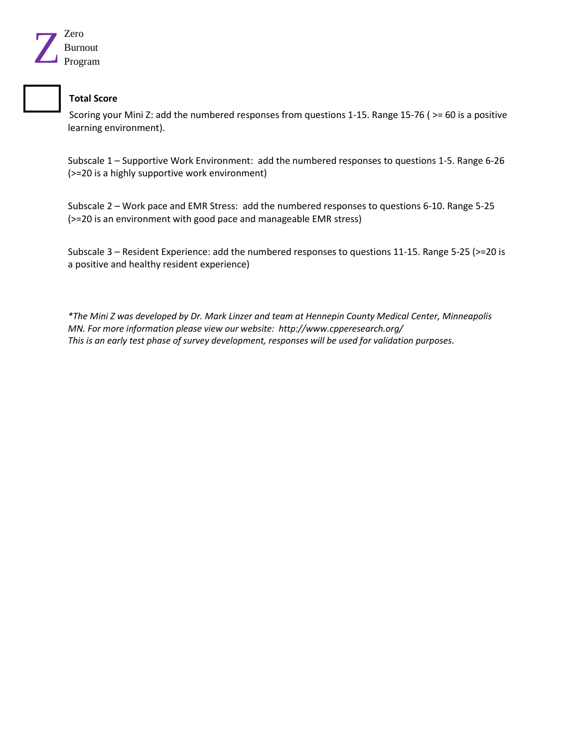

# **Total Score**

Scoring your Mini Z: add the numbered responses from questions 1-15. Range 15-76 ( >= 60 is a positive learning environment).

Subscale 1 – Supportive Work Environment: add the numbered responses to questions 1-5. Range 6-26 (>=20 is a highly supportive work environment)

Subscale 2 – Work pace and EMR Stress: add the numbered responses to questions 6-10. Range 5-25 (>=20 is an environment with good pace and manageable EMR stress)

Subscale 3 – Resident Experience: add the numbered responses to questions 11-15. Range 5-25 (>=20 is a positive and healthy resident experience)

*\*The Mini Z was developed by Dr. Mark Linzer and team at Hennepin County Medical Center, Minneapolis MN. For more information please view our website: http://www.cpperesearch.org/ This is an early test phase of survey development, responses will be used for validation purposes.*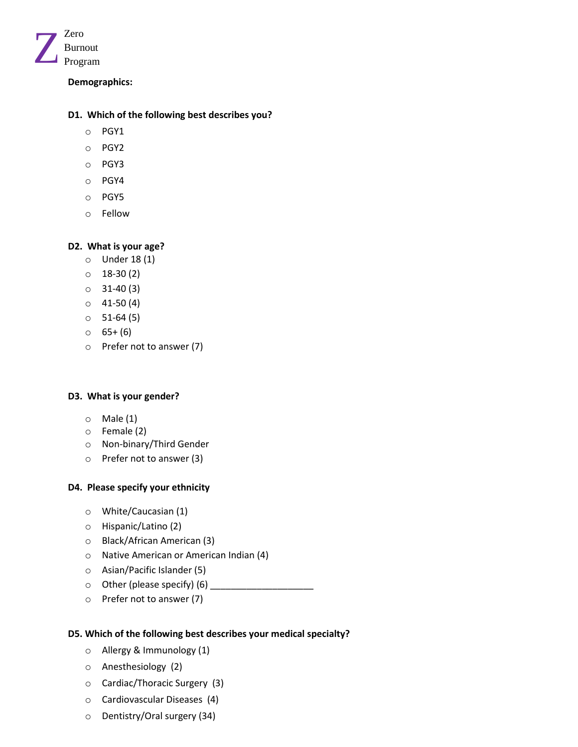

## **Demographics:**

## **D1. Which of the following best describes you?**

- o PGY1
- o PGY2
- o PGY3
- o PGY4
- o PGY5
- o Fellow

# **D2. What is your age?**

- o Under 18 (1)
- o 18-30 (2)
- $\circ$  31-40 (3)
- $\circ$  41-50 (4)
- $0$  51-64 $(5)$
- $0 \t 65+(6)$
- o Prefer not to answer (7)

## **D3. What is your gender?**

- $\circ$  Male (1)
- o Female (2)
- o Non-binary/Third Gender
- o Prefer not to answer (3)

## **D4. Please specify your ethnicity**

- o White/Caucasian (1)
- o Hispanic/Latino (2)
- o Black/African American (3)
- o Native American or American Indian (4)
- o Asian/Pacific Islander (5)
- $\circ$  Other (please specify) (6)
- o Prefer not to answer (7)

## **D5. Which of the following best describes your medical specialty?**

- o Allergy & Immunology (1)
- o Anesthesiology (2)
- o Cardiac/Thoracic Surgery (3)
- o Cardiovascular Diseases (4)
- o Dentistry/Oral surgery (34)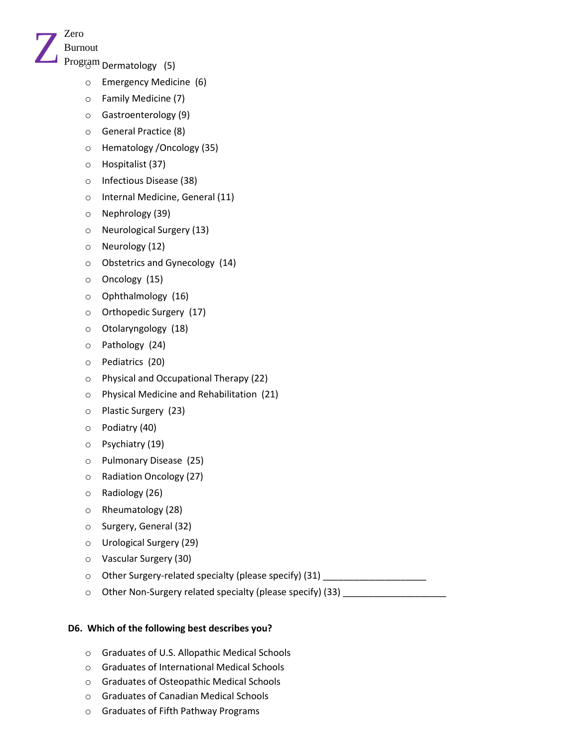

- o Emergency Medicine (6)
- o Family Medicine (7)
- o Gastroenterology (9)
- o General Practice (8)
- o Hematology /Oncology (35)
- o Hospitalist (37)
- o Infectious Disease (38)
- o Internal Medicine, General (11)
- o Nephrology (39)
- o Neurological Surgery (13)
- o Neurology (12)
- o Obstetrics and Gynecology (14)
- o Oncology (15)
- o Ophthalmology (16)
- o Orthopedic Surgery (17)
- o Otolaryngology (18)
- o Pathology (24)
- o Pediatrics (20)
- o Physical and Occupational Therapy (22)
- o Physical Medicine and Rehabilitation (21)
- o Plastic Surgery (23)
- o Podiatry (40)
- o Psychiatry (19)
- o Pulmonary Disease (25)
- o Radiation Oncology (27)
- o Radiology (26)
- o Rheumatology (28)
- o Surgery, General (32)
- o Urological Surgery (29)
- o Vascular Surgery (30)
- o Other Surgery-related specialty (please specify) (31) \_\_\_\_\_\_\_\_\_\_\_\_\_\_\_\_\_\_\_\_\_\_\_\_
- $\circ$  Other Non-Surgery related specialty (please specify) (33)

# **D6. Which of the following best describes you?**

- o Graduates of U.S. Allopathic Medical Schools
- o Graduates of International Medical Schools
- o Graduates of Osteopathic Medical Schools
- o Graduates of Canadian Medical Schools
- o Graduates of Fifth Pathway Programs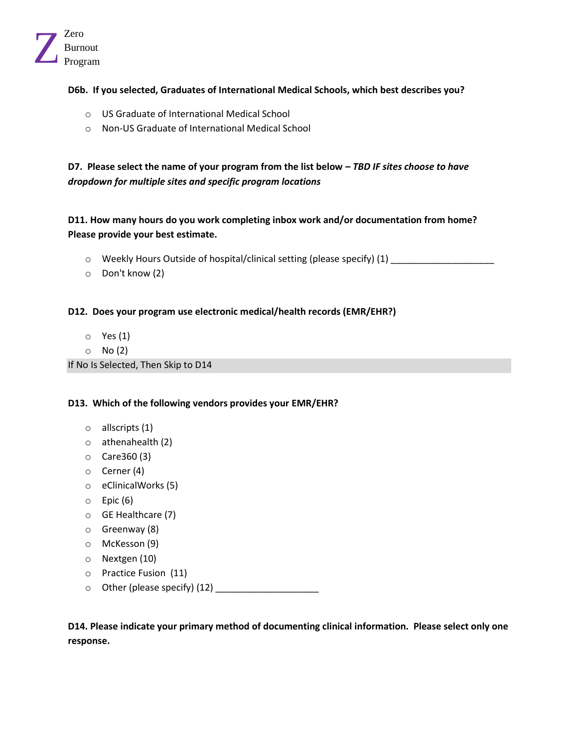

# **D6b. If you selected, Graduates of International Medical Schools, which best describes you?**

- o US Graduate of International Medical School
- o Non-US Graduate of International Medical School

**D7. Please select the name of your program from the list below –** *TBD IF sites choose to have dropdown for multiple sites and specific program locations*

**D11. How many hours do you work completing inbox work and/or documentation from home? Please provide your best estimate.**

- o Weekly Hours Outside of hospital/clinical setting (please specify) (1) \_\_\_\_\_\_\_\_\_\_\_\_\_\_\_\_\_\_\_\_
- o Don't know (2)

**D12. Does your program use electronic medical/health records (EMR/EHR?)**

- o Yes (1)
- $\circ$  No (2)

If No Is Selected, Then Skip to D14

#### **D13. Which of the following vendors provides your EMR/EHR?**

- o allscripts (1)
- o athenahealth (2)
- o Care360 (3)
- o Cerner (4)
- o eClinicalWorks (5)
- $\circ$  Epic (6)
- o GE Healthcare (7)
- o Greenway (8)
- o McKesson (9)
- o Nextgen (10)
- o Practice Fusion (11)
- o Other (please specify) (12) \_\_\_\_\_\_\_\_\_\_\_\_\_\_\_\_\_\_\_\_

**D14. Please indicate your primary method of documenting clinical information. Please select only one response.**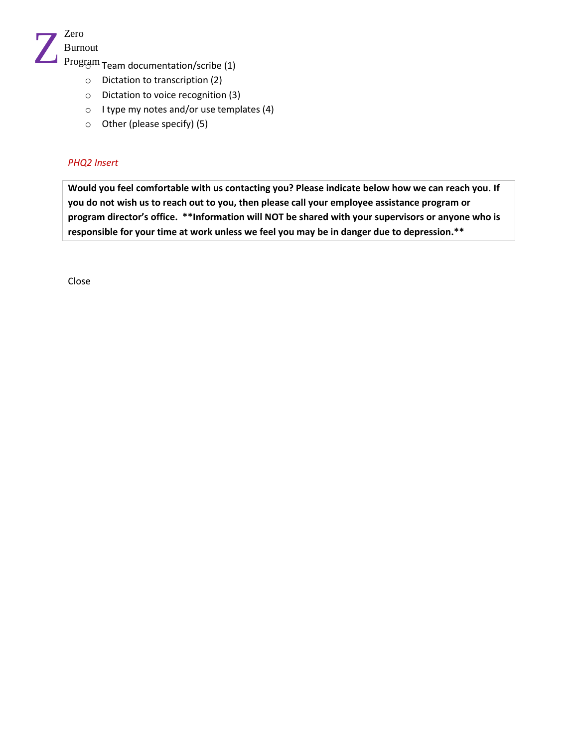

 $\mathop{\mathrm{Program}}\nolimits$  Team documentation/scribe (1)

- o Dictation to transcription (2)
- o Dictation to voice recognition (3)
- o I type my notes and/or use templates (4)
- o Other (please specify) (5)

# *PHQ2 Insert*

**Would you feel comfortable with us contacting you? Please indicate below how we can reach you. If you do not wish us to reach out to you, then please call your employee assistance program or program director's office. \*\*Information will NOT be shared with your supervisors or anyone who is responsible for your time at work unless we feel you may be in danger due to depression.\*\*** 

Close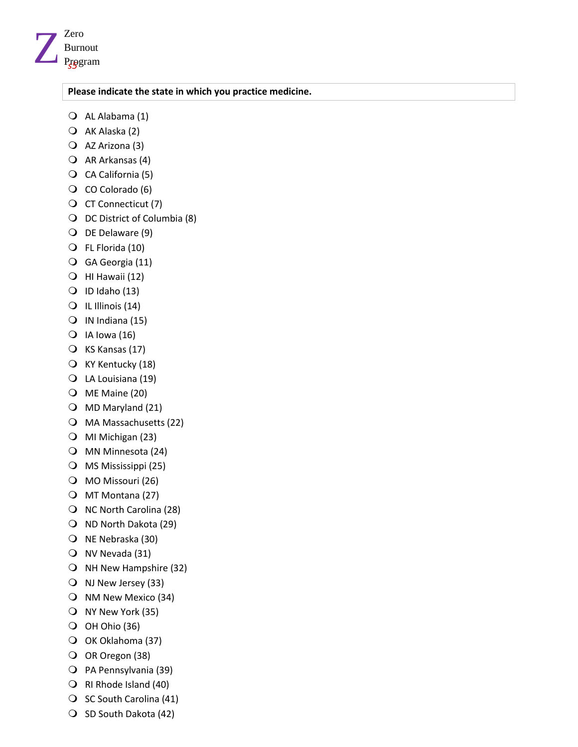

#### **Please indicate the state in which you practice medicine.**

- AL Alabama (1)
- AK Alaska (2)
- AZ Arizona (3)
- $\overline{Q}$  AR Arkansas (4)
- CA California (5)
- CO Colorado (6)
- CT Connecticut (7)
- DC District of Columbia (8)
- O DE Delaware (9)
- FL Florida (10)
- GA Georgia (11)
- $\bigcirc$  HI Hawaii (12)
- $\bigcirc$  ID Idaho (13)
- IL Illinois (14)
- $\bigcirc$  IN Indiana (15)
- $\bigcirc$  IA lowa (16)
- KS Kansas (17)
- KY Kentucky (18)
- LA Louisiana (19)
- ME Maine (20)
- $\bigcirc$  MD Maryland (21)
- MA Massachusetts (22)
- MI Michigan (23)
- MN Minnesota (24)
- MS Mississippi (25)
- MO Missouri (26)
- O MT Montana (27)
- $\bigcirc$  NC North Carolina (28)
- O ND North Dakota (29)
- O NE Nebraska (30)
- NV Nevada (31)
- O NH New Hampshire (32)
- NJ New Jersey (33)
- O NM New Mexico (34)
- NY New York (35)
- $O$  OH Ohio (36)
- O OK Oklahoma (37)
- O OR Oregon (38)
- PA Pennsylvania (39)
- RI Rhode Island (40)
- $\bigcirc$  SC South Carolina (41)
- O SD South Dakota (42)